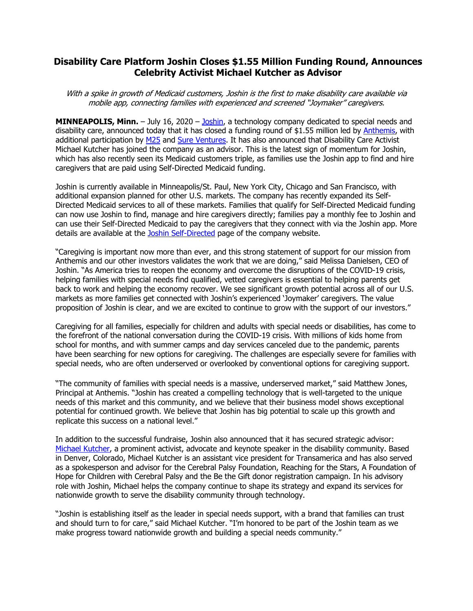## **Disability Care Platform Joshin Closes \$1.55 Million Funding Round, Announces Celebrity Activist Michael Kutcher as Advisor**

## With a spike in growth of Medicaid customers, Joshin is the first to make disability care available via mobile app, connecting families with experienced and screened "Joymaker" caregivers.

**MINNEAPOLIS, Minn.** – July 16, 2020 – Joshin, a technology company dedicated to special needs and disability care, announced today that it has closed a funding round of \$1.55 million led by Anthemis, with additional participation by M25 and Sure Ventures. It has also announced that Disability Care Activist Michael Kutcher has joined the company as an advisor. This is the latest sign of momentum for Joshin, which has also recently seen its Medicaid customers triple, as families use the Joshin app to find and hire caregivers that are paid using Self-Directed Medicaid funding.

Joshin is currently available in Minneapolis/St. Paul, New York City, Chicago and San Francisco, with additional expansion planned for other U.S. markets. The company has recently expanded its Self-Directed Medicaid services to all of these markets. Families that qualify for Self-Directed Medicaid funding can now use Joshin to find, manage and hire caregivers directly; families pay a monthly fee to Joshin and can use their Self-Directed Medicaid to pay the caregivers that they connect with via the Joshin app. More details are available at the Joshin Self-Directed page of the company website.

"Caregiving is important now more than ever, and this strong statement of support for our mission from Anthemis and our other investors validates the work that we are doing," said Melissa Danielsen, CEO of Joshin. "As America tries to reopen the economy and overcome the disruptions of the COVID-19 crisis, helping families with special needs find qualified, vetted caregivers is essential to helping parents get back to work and helping the economy recover. We see significant growth potential across all of our U.S. markets as more families get connected with Joshin's experienced 'Joymaker' caregivers. The value proposition of Joshin is clear, and we are excited to continue to grow with the support of our investors."

Caregiving for all families, especially for children and adults with special needs or disabilities, has come to the forefront of the national conversation during the COVID-19 crisis. With millions of kids home from school for months, and with summer camps and day services canceled due to the pandemic, parents have been searching for new options for caregiving. The challenges are especially severe for families with special needs, who are often underserved or overlooked by conventional options for caregiving support.

"The community of families with special needs is a massive, underserved market," said Matthew Jones, Principal at Anthemis. "Joshin has created a compelling technology that is well-targeted to the unique needs of this market and this community, and we believe that their business model shows exceptional potential for continued growth. We believe that Joshin has big potential to scale up this growth and replicate this success on a national level."

In addition to the successful fundraise, Joshin also announced that it has secured strategic advisor: Michael Kutcher, a prominent activist, advocate and keynote speaker in the disability community. Based in Denver, Colorado, Michael Kutcher is an assistant vice president for Transamerica and has also served as a spokesperson and advisor for the Cerebral Palsy Foundation, Reaching for the Stars, A Foundation of Hope for Children with Cerebral Palsy and the Be the Gift donor registration campaign. In his advisory role with Joshin, Michael helps the company continue to shape its strategy and expand its services for nationwide growth to serve the disability community through technology.

"Joshin is establishing itself as the leader in special needs support, with a brand that families can trust and should turn to for care," said Michael Kutcher. "I'm honored to be part of the Joshin team as we make progress toward nationwide growth and building a special needs community."